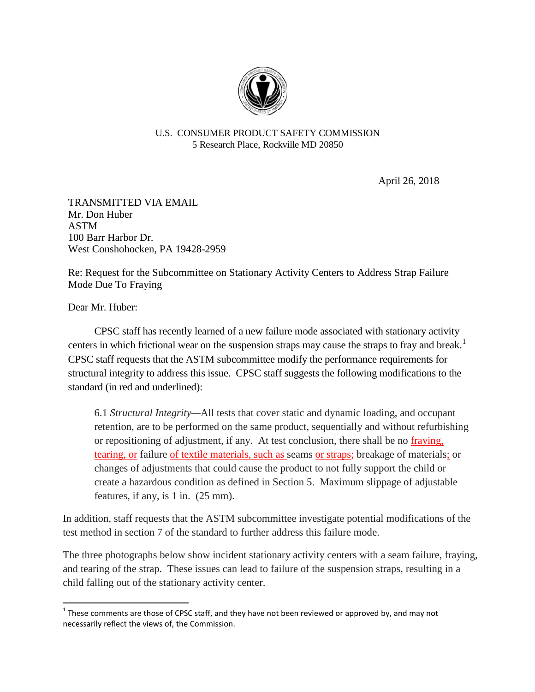

## U.S. CONSUMER PRODUCT SAFETY COMMISSION 5 Research Place, Rockville MD 20850

April 26, 2018

TRANSMITTED VIA EMAIL Mr. Don Huber ASTM 100 Barr Harbor Dr. West Conshohocken, PA 19428-2959

Re: Request for the Subcommittee on Stationary Activity Centers to Address Strap Failure Mode Due To Fraying

Dear Mr. Huber:

CPSC staff has recently learned of a new failure mode associated with stationary activity centers in which frictional wear on the suspension straps may cause the straps to fray and break.<sup>[1](#page-0-0)</sup> CPSC staff requests that the ASTM subcommittee modify the performance requirements for structural integrity to address this issue. CPSC staff suggests the following modifications to the standard (in red and underlined):

6.1 *Structural Integrity—*All tests that cover static and dynamic loading, and occupant retention, are to be performed on the same product, sequentially and without refurbishing or repositioning of adjustment, if any. At test conclusion, there shall be no fraying, tearing, or failure of textile materials, such as seams or straps; breakage of materials; or changes of adjustments that could cause the product to not fully support the child or create a hazardous condition as defined in Section 5. Maximum slippage of adjustable features, if any, is 1 in. (25 mm).

In addition, staff requests that the ASTM subcommittee investigate potential modifications of the test method in section 7 of the standard to further address this failure mode.

The three photographs below show incident stationary activity centers with a seam failure, fraying, and tearing of the strap. These issues can lead to failure of the suspension straps, resulting in a child falling out of the stationary activity center.

<span id="page-0-0"></span> $1$  These comments are those of CPSC staff, and they have not been reviewed or approved by, and may not necessarily reflect the views of, the Commission.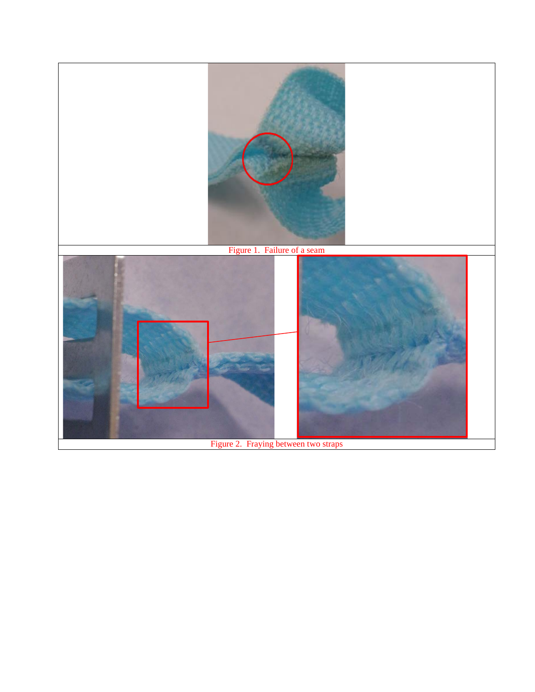